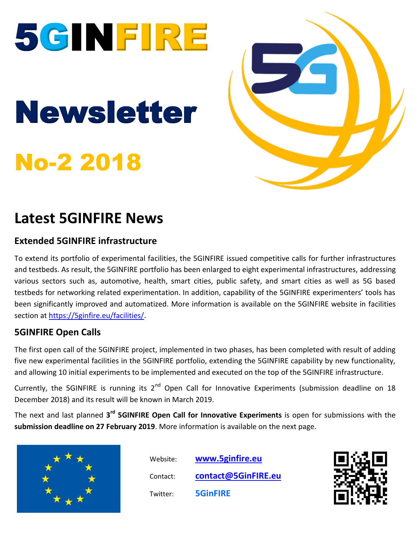



## **Latest 5GINFIRE News**

### **Extended 5GINFIRE infrastructure**

To extend its portfolio of experimental facilities, the 5GINFIRE issued competitive calls for further infrastructures and testbeds. As result, the 5GINFIRE portfolio has been enlarged to eight experimental infrastructures, addressing various sectors such as, automotive, health, smart cities, public safety, and smart cities as well as 5G based testbeds for networking related experimentation. In addition, capability of the 5GINFIRE experimenters' tools has been significantly improved and automatized. More information is available on the 5GINFIRE website in facilities section at [https://5ginfire.eu/facilities/.](https://5ginfire.eu/facilities/)

### **5GINFIRE Open Calls**

The first open call of the 5GINFIRE project, implemented in two phases, has been completed with result of adding five new experimental facilities in the 5GINFIRE portfolio, extending the 5GINFIRE capability by new functionality, and allowing 10 initial experiments to be implemented and executed on the top of the 5GINFIRE infrastructure.

Currently, the 5GINFIRE is running its 2<sup>nd</sup> Open Call for Innovative Experiments (submission deadline on 18 December 2018) and its result will be known in March 2019.

The next and last planned 3<sup>rd</sup> 5GINFIRE Open Call for Innovative Experiments is open for submissions with the **submission deadline on 27 February 2019**. More information is available on the next page.



 Website: **[www.5ginfire.eu](http://www.5ginfire.eu/)** Contact: **[contact@5GinFIRE.eu](mailto:contact@5GinFIRE.eu)** Twitter: **5GinFIRE**

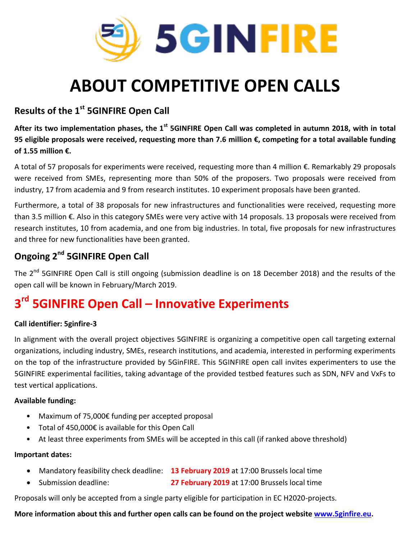

# **ABOUT COMPETITIVE OPEN CALLS**

### **Results of the 1st 5GINFIRE Open Call**

After its two implementation phases, the 1<sup>st</sup> 5GINFIRE Open Call was completed in autumn 2018, with in total **95 eligible proposals were received, requesting more than 7.6 million €, competing for a total available funding of 1.55 million €.**

A total of 57 proposals for experiments were received, requesting more than 4 million €. Remarkably 29 proposals were received from SMEs, representing more than 50% of the proposers. Two proposals were received from industry, 17 from academia and 9 from research institutes. 10 experiment proposals have been granted.

Furthermore, a total of 38 proposals for new infrastructures and functionalities were received, requesting more than 3.5 million €. Also in this category SMEs were very active with 14 proposals. 13 proposals were received from research institutes, 10 from academia, and one from big industries. In total, five proposals for new infrastructures and three for new functionalities have been granted.

### **Ongoing 2nd 5GINFIRE Open Call**

The 2<sup>nd</sup> 5GINFIRE Open Call is still ongoing (submission deadline is on 18 December 2018) and the results of the open call will be known in February/March 2019.

## **3 rd 5GINFIRE Open Call – Innovative Experiments**

#### **Call identifier: 5ginfire-3**

In alignment with the overall project objectives 5GINFIRE is organizing a competitive open call targeting external organizations, including industry, SMEs, research institutions, and academia, interested in performing experiments on the top of the infrastructure provided by 5GinFIRE. This 5GINFIRE open call invites experimenters to use the 5GINFIRE experimental facilities, taking advantage of the provided testbed features such as SDN, NFV and VxFs to test vertical applications.

#### **Available funding:**

- Maximum of 75,000€ funding per accepted proposal
- Total of 450,000€ is available for this Open Call
- At least three experiments from SMEs will be accepted in this call (if ranked above threshold)

#### **Important dates:**

- Mandatory feasibility check deadline: **13 February 2019** at 17:00 Brussels local time
- Submission deadline: **27 February 2019** at 17:00 Brussels local time

Proposals will only be accepted from a single party eligible for participation in EC H2020-projects.

#### **More information about this and further open calls can be found on the project website [www.5ginfire.eu.](http://www.5ginfire.eu/)**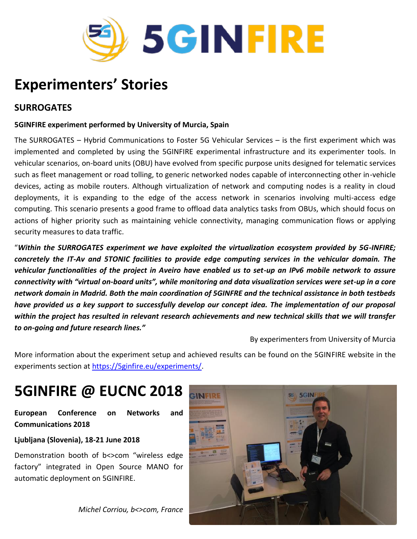

## **Experimenters' Stories**

#### **SURROGATES**

#### **5GINFIRE experiment performed by University of Murcia, Spain**

The SURROGATES – Hybrid Communications to Foster 5G Vehicular Services – is the first experiment which was implemented and completed by using the 5GINFIRE experimental infrastructure and its experimenter tools. In vehicular scenarios, on-board units (OBU) have evolved from specific purpose units designed for telematic services such as fleet management or road tolling, to generic networked nodes capable of interconnecting other in-vehicle devices, acting as mobile routers. Although virtualization of network and computing nodes is a reality in cloud deployments, it is expanding to the edge of the access network in scenarios involving multi-access edge computing. This scenario presents a good frame to offload data analytics tasks from OBUs, which should focus on actions of higher priority such as maintaining vehicle connectivity, managing communication flows or applying security measures to data traffic.

"*Within the SURROGATES experiment we have exploited the virtualization ecosystem provided by 5G-INFIRE; concretely the IT-Av and 5TONIC facilities to provide edge computing services in the vehicular domain. The vehicular functionalities of the project in Aveiro have enabled us to set-up an IPv6 mobile network to assure connectivity with "virtual on-board units", while monitoring and data visualization services were set-up in a core network domain in Madrid. Both the main coordination of 5GINFRE and the technical assistance in both testbeds have provided us a key support to successfully develop our concept idea. The implementation of our proposal within the project has resulted in relevant research achievements and new technical skills that we will transfer to on-going and future research lines."*

By experimenters from University of Murcia

More information about the experiment setup and achieved results can be found on the 5GINFIRE website in the experiments section at [https://5ginfire.eu/experiments/.](https://5ginfire.eu/experiments/)

## **5GINFIRE @ EUCNC 2018**

**European Conference on Networks and Communications 2018**

**Ljubljana (Slovenia), 18-21 June 2018**

Demonstration booth of b<>com "wireless edge factory" integrated in Open Source MANO for automatic deployment on 5GINFIRE.